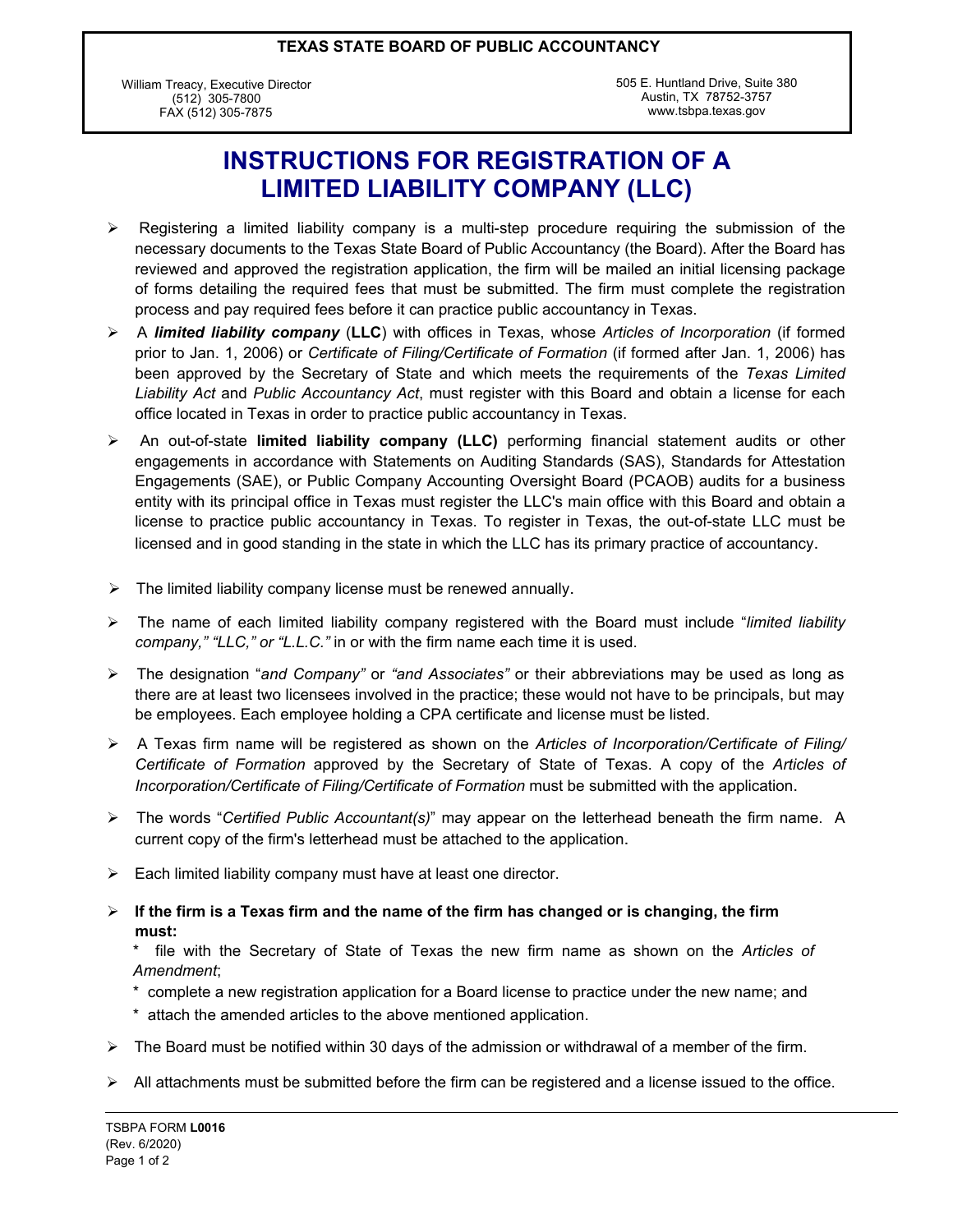#### **TEXAS STATE BOARD OF PUBLIC ACCOUNTANCY**

William Treacy, Executive Director (512) 305-7800 FAX (512) 305-7875

505 E. Huntland Drive, Suite 380 Austin, TX 78752-3757 www.tsbpa.texas.gov

# **INSTRUCTIONS FOR REGISTRATION OF A LIMITED LIABILITY COMPANY (LLC)**

- $\triangleright$  Registering a limited liability company is a multi-step procedure requiring the submission of the necessary documents to the Texas State Board of Public Accountancy (the Board). After the Board has reviewed and approved the registration application, the firm will be mailed an initial licensing package of forms detailing the required fees that must be submitted. The firm must complete the registration process and pay required fees before it can practice public accountancy in Texas.
- ÿ A *limited liability company* (**LLC**) with offices in Texas, whose *Articles of Incorporation* (if formed prior to Jan. 1, 2006) or *Certificate of Filing/Certificate of Formation* (if formed after Jan. 1, 2006) has been approved by the Secretary of State and which meets the requirements of the *Texas Limited Liability Act* and *Public Accountancy Act*, must register with this Board and obtain a license for each office located in Texas in order to practice public accountancy in Texas.
- ÿ An out-of-state **limited liability company (LLC)** performing financial statement audits or other engagements in accordance with Statements on Auditing Standards (SAS), Standards for Attestation Engagements (SAE), or Public Company Accounting Oversight Board (PCAOB) audits for a business entity with its principal office in Texas must register the LLC's main office with this Board and obtain a license to practice public accountancy in Texas. To register in Texas, the out-of-state LLC must be licensed and in good standing in the state in which the LLC has its primary practice of accountancy.
- $\triangleright$  The limited liability company license must be renewed annually.
- ÿ The name of each limited liability company registered with the Board must include "*limited liability company," "LLC," or "L.L.C."* in or with the firm name each time it is used.
- ÿ The designation "*and Company"* or *"and Associates"* or their abbreviations may be used as long as there are at least two licensees involved in the practice; these would not have to be principals, but may be employees. Each employee holding a CPA certificate and license must be listed.
- ÿ A Texas firm name will be registered as shown on the *Articles of Incorporation/Certificate of Filing/ Certificate of Formation* approved by the Secretary of State of Texas. A copy of the *Articles of Incorporation/Certificate of Filing/Certificate of Formation* must be submitted with the application.
- ÿ The words "*Certified Public Accountant(s)*" may appear on the letterhead beneath the firm name. A current copy of the firm's letterhead must be attached to the application.
- $\triangleright$  Each limited liability company must have at least one director.
- $\triangleright$  If the firm is a Texas firm and the name of the firm has changed or is changing, the firm **must:**

\* file with the Secretary of State of Texas the new firm name as shown on the *Articles of Amendment*;

- \* complete a new registration application for a Board license to practice under the new name; and
- \* attach the amended articles to the above mentioned application.
- $\triangleright$  The Board must be notified within 30 days of the admission or withdrawal of a member of the firm.
- $\triangleright$  All attachments must be submitted before the firm can be registered and a license issued to the office.